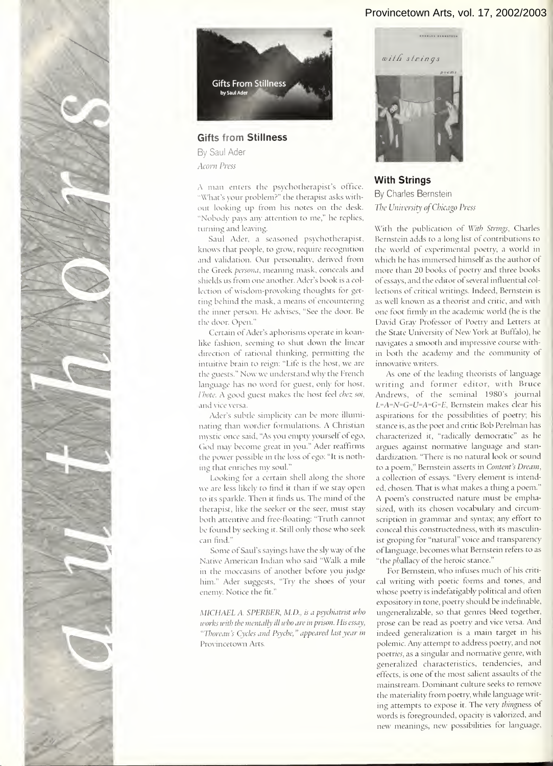## Provincetown Arts, vol. 17, 2002/2003



## With Strings

 $W'$ out looking up from his notes on the desk. By Charles Bernstein The University of Chicago Press

 $\overline{\phantom{a}}$  $\mathbf{t}$ and  $\overline{\mathbf{u}}$  $\mathbf n$ shields us from one another. Ader's book is a col lection of wisdom-provoking thoughts tor get ting a mask  $a$  $\overline{\phantom{a}}$  $\vert \cdot \vert$  is set to shut down the linear set of  $\vert$  $\ddot{\phantom{1}}$  $\blacksquare$ W'ith the publication of With Strings, Charles Bernstein adds to a long list of contributions to the world of experimental poetry, a world in which he has immersed himself as the author ot more than 20 books of poetry and three books of essays, and the editor of several influential collections of critical writings. Indeed, Bernstein is as well known as a theorist and critic, and with one foot firmly in the academic world (he is the David Gray Professor of Poetry and Letters at the State University of New York at Buffalo), he navigates a smooth and impressive course within both the academy and the community of innovative writers.

language has no word for guest, only tor host,  $\mathcal{A}$ nations. A Christian wordier to  $m<sub>1</sub>$  $\tilde{\epsilon}$  $\Box$  a  $\mathbf{e}$  $\frac{1}{\sqrt{2}}$ therapist, like the seeker or the seer, must stay both attention and free-floating and free-floating and free-floating:  $\mathbf{S}$  $\overline{\mathbf{C}}$  $\sim$  Saul's saying have the sly way of the sly way of the sly way of the sly  $\sim$ Native American Indian who said "Walk <sup>a</sup> mile As one of the leading theorists of language writing and former editor, with Bruce Andrev\'s, of the seminal 1980's journal  $L$ =A=N=G=U=A=G=E, Bernstein makes clear his aspirations for the possibilities of poetry; his stance is, as the poet and critic Bob Perelman has characterized it, "radically democratic" as he argues against normative language and stan dardization. "There is no natural look or sound to a poem," Bernstein asserts in Content's Dream, a collection of essays. "Every element is intended, chosen. That is what makes a thing a poem.' A poem's constructed nature must be emphasized, with its chosen vocabulary and circumscription in grammar and syntax; any effort to conceal this constructedness, with its masculinist groping for "natural" voice and transparency of language, becomes what Bernstein refers to as "the phallacy of the heroic stance."

 $\mathcal{C}$  $\blacksquare$ For Bernstein, who infuses much of his critical writing with poetic forms and tones, and whose poetry is indefatigably political and often expository in tone, poetry should be indefinable, ungeneralizable, so that genres bleed together, prose can be read as poetry and vice versa. And indeed generalization is a main target in his polemic. Any attempt to address poetry, and not poetries, as a singular and normative genre, with generalized characteristics, tendencies, and effects, is one of the most salient assaults of the mainstream. Dominant culture seeks to remove the materiality from poetry, while language writ ing attempts to expose it. The very thingness of words is foregrounded, opacity is valorized, and new meanings, new possibilities for language.